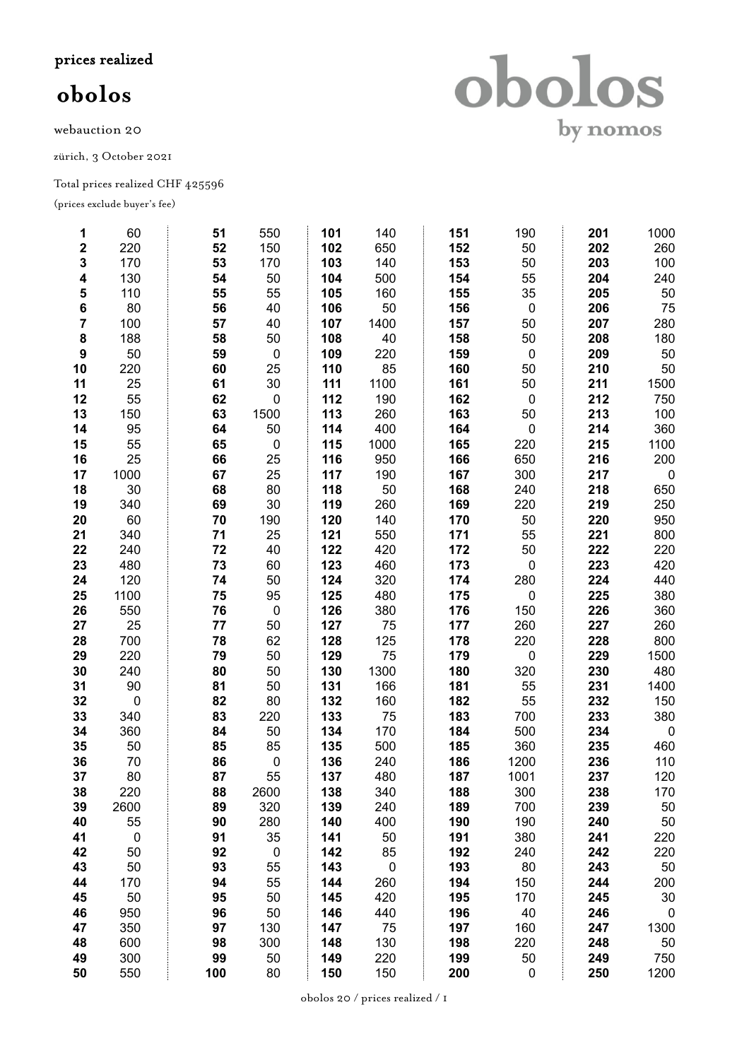prices realized

## **obolos**

webauction 20

zürich, 3 October 2021

Total prices realized CHF 425596

(prices exclude buyer's fee)

| 1              | 60             | 51  | 550            | 101 | 140                      | 151 | 190       | 201 | 1000                    |
|----------------|----------------|-----|----------------|-----|--------------------------|-----|-----------|-----|-------------------------|
| $\mathbf 2$    | 220            | 52  | 150            | 102 | 650                      | 152 | 50        | 202 | 260                     |
| 3              | 170            | 53  | 170            | 103 | 140                      | 153 | 50        | 203 | 100                     |
| 4              | 130            | 54  | 50             | 104 | 500                      | 154 | 55        | 204 | 240                     |
| 5              | 110            | 55  | 55             | 105 | 160                      | 155 | 35        | 205 | 50                      |
| 6              | 80             | 56  | 40             | 106 | 50                       | 156 | $\pmb{0}$ | 206 | 75                      |
| $\overline{7}$ | 100            | 57  | 40             | 107 | 1400                     | 157 | 50        | 207 | 280                     |
| 8              | 188            | 58  | 50             | 108 | 40                       | 158 | 50        | 208 | 180                     |
| 9              | 50             | 59  | $\pmb{0}$      | 109 | 220                      | 159 | $\pmb{0}$ | 209 | 50                      |
| 10             | 220            | 60  | 25             | 110 | 85                       | 160 | 50        | 210 | 50                      |
| 11             | 25             | 61  | 30             | 111 | 1100                     | 161 | 50        | 211 | 1500                    |
| 12             | 55             | 62  | $\pmb{0}$      | 112 | 190                      | 162 | $\pmb{0}$ | 212 | 750                     |
| 13             | 150            | 63  | 1500           | 113 | 260                      | 163 | 50        | 213 | 100                     |
| 14             | 95             | 64  | 50             | 114 | 400                      | 164 | 0         | 214 | 360                     |
| 15             | 55             | 65  | $\pmb{0}$      | 115 | 1000                     | 165 | 220       | 215 | 1100                    |
| 16             | 25             | 66  | 25             | 116 | 950                      | 166 | 650       | 216 | 200                     |
| 17             | 1000           | 67  | 25             | 117 | 190                      | 167 | 300       | 217 | $\boldsymbol{0}$        |
| 18             | 30             | 68  | 80             | 118 | 50                       | 168 | 240       | 218 | 650                     |
| 19             | 340            | 69  | 30             | 119 | 260                      | 169 | 220       | 219 | 250                     |
| 20             | 60             | 70  | 190            | 120 | 140                      | 170 | 50        | 220 | 950                     |
| 21             | 340            | 71  | 25             | 121 | 550                      | 171 | 55        | 221 | 800                     |
| 22             | 240            | 72  | 40             | 122 | 420                      | 172 | 50        | 222 | 220                     |
| 23             | 480            | 73  | 60             | 123 | 460                      | 173 | 0         | 223 | 420                     |
| 24             | 120            | 74  | 50             | 124 | 320                      | 174 | 280       | 224 | 440                     |
| 25             | 1100           | 75  | 95             | 125 | 480                      | 175 | 0         | 225 | 380                     |
| 26             | 550            | 76  | $\pmb{0}$      | 126 | 380                      | 176 | 150       | 226 | 360                     |
| 27             | 25             | 77  | 50             | 127 | 75                       | 177 | 260       | 227 | 260                     |
| 28             | 700            | 78  | 62             | 128 | 125                      | 178 | 220       | 228 | 800                     |
| 29             | 220            | 79  | 50             | 129 | 75                       | 179 | 0         | 229 | 1500                    |
| 30             | 240            | 80  | 50             | 130 | 1300                     | 180 | 320       | 230 | 480                     |
| 31             | 90             | 81  | 50             | 131 | 166                      | 181 | 55        | 231 | 1400                    |
| 32             | $\pmb{0}$      | 82  | 80             | 132 | 160                      | 182 | 55        | 232 | 150                     |
| 33             | 340            | 83  | 220            | 133 | 75                       | 183 | 700       | 233 | 380                     |
| 34             | 360            | 84  | 50             | 134 | 170                      | 184 | 500       | 234 | $\overline{\mathbf{0}}$ |
| 35             | 50             | 85  | 85             | 135 | 500                      | 185 | 360       | 235 | 460                     |
| 36             | 70             | 86  | $\pmb{0}$      | 136 | 240                      | 186 | 1200      | 236 | 110                     |
| 37             | 80             | 87  | 55             | 137 | 480                      | 187 | 1001      | 237 | 120                     |
| 38             | 220            | 88  | 2600           | 138 | 340                      | 188 | 300       | 238 | 170                     |
| 39             | 2600           | 89  | 320            | 139 | 240                      | 189 | 700       | 239 | 50                      |
| 40             | 55             | 90  | 280            | 140 | 400                      | 190 | 190       | 240 | 50                      |
| 41             | $\overline{0}$ | 91  | 35             | 141 | 50                       | 191 | 380       | 241 | 220                     |
| 42             | 50             | 92  | $\overline{0}$ | 142 | 85                       | 192 | 240       | 242 | 220                     |
| 43             | 50             | 93  | 55             | 143 | $\overline{\phantom{0}}$ | 193 | 80        | 243 | 50                      |
| 44             | 170            | 94  | 55             | 144 | 260                      | 194 | 150       | 244 | 200                     |
| 45             | 50             | 95  | 50             | 145 | 420                      | 195 | 170       | 245 | 30                      |
| 46             | 950            | 96  | 50             | 146 | 440                      | 196 | 40        | 246 | $\overline{\mathbf{0}}$ |
| 47             | 350            | 97  | 130            | 147 | 75                       | 197 | 160       | 247 | 1300                    |
| 48             | 600            | 98  | 300            | 148 | 130                      | 198 | 220       | 248 | 50                      |
| 49             | 300            | 99  | 50             | 149 | 220                      | 199 | 50        | 249 | 750                     |
| 50             | 550            | 100 | 80             | 150 | 150                      | 200 | 0         | 250 | 1200                    |

obolos by nomos

obolos 20 / prices realized / 1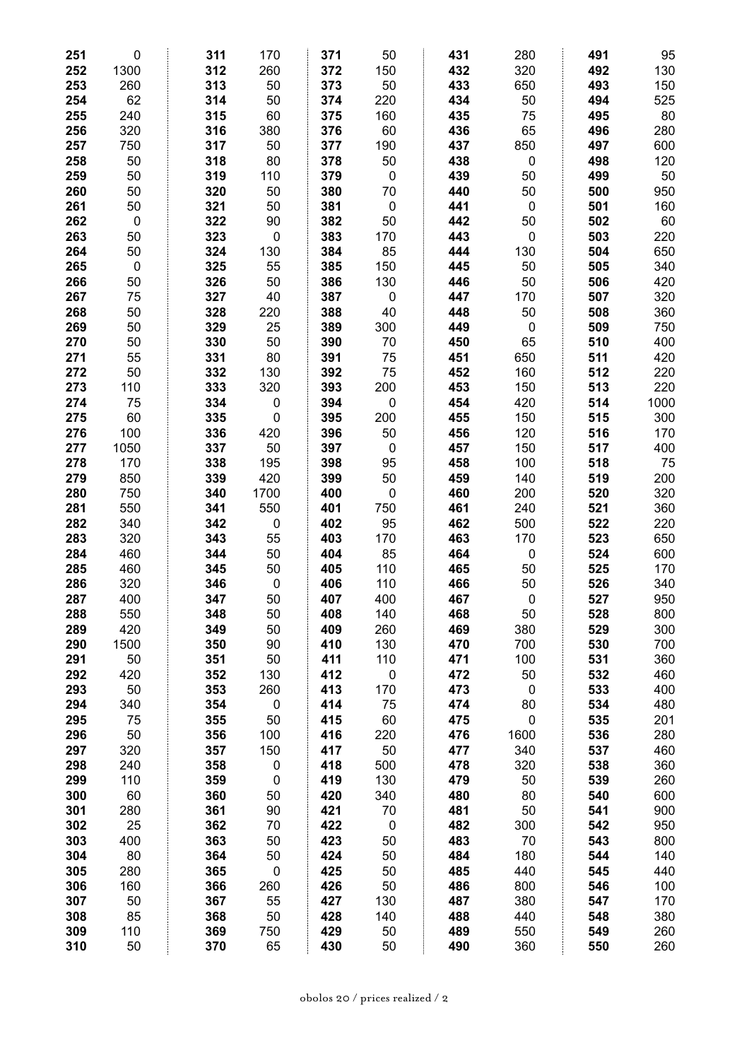| 251 | $\mathbf 0$ | 311 | 170         | 371 | 50          | 431 | 280         | 491 | 95   |
|-----|-------------|-----|-------------|-----|-------------|-----|-------------|-----|------|
| 252 | 1300        | 312 | 260         | 372 | 150         | 432 | 320         | 492 | 130  |
| 253 | 260         | 313 | 50          | 373 | 50          | 433 | 650         | 493 | 150  |
| 254 | 62          | 314 | 50          | 374 | 220         | 434 | 50          | 494 | 525  |
| 255 | 240         | 315 | 60          | 375 | 160         | 435 | 75          | 495 | 80   |
| 256 | 320         | 316 | 380         | 376 | 60          | 436 | 65          | 496 | 280  |
| 257 | 750         | 317 | 50          | 377 | 190         | 437 | 850         | 497 | 600  |
| 258 | 50          | 318 | 80          | 378 | 50          | 438 | $\mathbf 0$ | 498 | 120  |
| 259 | 50          | 319 | 110         | 379 | $\mathbf 0$ | 439 | 50          | 499 | 50   |
| 260 | 50          | 320 | 50          | 380 | 70          | 440 | 50          | 500 | 950  |
| 261 | 50          | 321 | 50          | 381 | $\mathbf 0$ | 441 | $\mathbf 0$ | 501 | 160  |
| 262 | $\mathbf 0$ | 322 | 90          | 382 | 50          | 442 | 50          | 502 | 60   |
| 263 | 50          | 323 | $\pmb{0}$   | 383 | 170         | 443 | $\mathbf 0$ | 503 | 220  |
| 264 | 50          | 324 | 130         | 384 | 85          | 444 | 130         | 504 | 650  |
| 265 | $\mathbf 0$ | 325 | 55          | 385 | 150         | 445 | 50          | 505 | 340  |
| 266 | 50          | 326 | 50          | 386 | 130         | 446 | 50          | 506 | 420  |
| 267 | 75          | 327 | 40          | 387 | $\mathbf 0$ | 447 | 170         | 507 | 320  |
| 268 | 50          | 328 | 220         | 388 | 40          | 448 | 50          | 508 | 360  |
| 269 | 50          | 329 | 25          | 389 | 300         | 449 | $\mathbf 0$ | 509 | 750  |
| 270 | 50          | 330 | 50          | 390 | 70          | 450 | 65          | 510 | 400  |
| 271 | 55          | 331 | 80          | 391 | 75          | 451 | 650         | 511 | 420  |
| 272 | 50          | 332 | 130         | 392 | 75          | 452 | 160         | 512 | 220  |
| 273 | 110         | 333 | 320         | 393 | 200         | 453 | 150         | 513 | 220  |
| 274 | 75          | 334 | $\pmb{0}$   | 394 | $\pmb{0}$   | 454 | 420         | 514 | 1000 |
| 275 | 60          | 335 | $\mathbf 0$ | 395 | 200         | 455 | 150         | 515 | 300  |
| 276 | 100         | 336 | 420         | 396 | 50          | 456 | 120         | 516 | 170  |
| 277 | 1050        | 337 | 50          | 397 | $\mathbf 0$ | 457 | 150         | 517 | 400  |
| 278 | 170         | 338 | 195         | 398 | 95          | 458 | 100         | 518 | 75   |
| 279 | 850         | 339 | 420         | 399 | 50          | 459 | 140         | 519 | 200  |
| 280 | 750         | 340 | 1700        | 400 | $\mathbf 0$ | 460 | 200         | 520 | 320  |
| 281 | 550         | 341 | 550         | 401 | 750         | 461 | 240         | 521 | 360  |
| 282 | 340         | 342 | $\pmb{0}$   | 402 | 95          | 462 | 500         | 522 | 220  |
| 283 | 320         | 343 | 55          | 403 | 170         | 463 | 170         | 523 | 650  |
| 284 | 460         | 344 | 50          | 404 | 85          | 464 | $\mathbf 0$ | 524 | 600  |
| 285 | 460         | 345 | 50          | 405 | 110         | 465 | 50          | 525 | 170  |
| 286 | 320         | 346 | $\mathbf 0$ | 406 | 110         | 466 | 50          | 526 | 340  |
| 287 | 400         | 347 | 50          | 407 | 400         | 467 | 0           | 527 | 950  |
| 288 | 550         | 348 | 50          | 408 | 140         | 468 | 50          | 528 | 800  |
| 289 | 420         | 349 | 50          | 409 | 260         | 469 | 380         | 529 | 300  |
| 290 | 1500        | 350 | 90          | 410 | 130         | 470 | 700         | 530 | 700  |
| 291 | 50          | 351 | 50          | 411 | 110         | 471 | 100         | 531 | 360  |
| 292 | 420         | 352 | 130         | 412 | $\pmb{0}$   | 472 | 50          | 532 | 460  |
| 293 | 50          | 353 | 260         | 413 | 170         | 473 | 0           | 533 | 400  |
| 294 | 340         | 354 | $\pmb{0}$   | 414 | 75          | 474 | 80          | 534 | 480  |
| 295 | 75          | 355 | 50          | 415 | 60          | 475 | $\pmb{0}$   | 535 | 201  |
| 296 | 50          | 356 | 100         | 416 | 220         | 476 | 1600        | 536 | 280  |
| 297 | 320         | 357 | 150         | 417 | 50          | 477 | 340         | 537 | 460  |
| 298 | 240         | 358 | 0           | 418 | 500         | 478 | 320         | 538 | 360  |
| 299 | 110         | 359 | $\pmb{0}$   | 419 | 130         | 479 | 50          | 539 | 260  |
| 300 | 60          | 360 | 50          | 420 | 340         | 480 | 80          | 540 | 600  |
| 301 | 280         | 361 | 90          | 421 | 70          | 481 | 50          | 541 | 900  |
| 302 | 25          | 362 | 70          | 422 | $\pmb{0}$   | 482 | 300         | 542 | 950  |
| 303 | 400         | 363 | 50          | 423 | 50          | 483 | 70          | 543 | 800  |
| 304 | 80          | 364 | 50          | 424 | 50          | 484 | 180         | 544 | 140  |
| 305 | 280         | 365 | $\pmb{0}$   | 425 | 50          | 485 | 440         | 545 | 440  |
| 306 | 160         | 366 | 260         | 426 | 50          | 486 | 800         | 546 | 100  |
| 307 | 50          | 367 | 55          | 427 | 130         | 487 | 380         | 547 | 170  |
| 308 | 85          | 368 | 50          | 428 | 140         | 488 | 440         | 548 | 380  |
| 309 | 110         | 369 | 750         | 429 | 50          | 489 | 550         | 549 | 260  |
| 310 | 50          | 370 | 65          | 430 | 50          | 490 | 360         | 550 | 260  |
|     |             |     |             |     |             |     |             |     |      |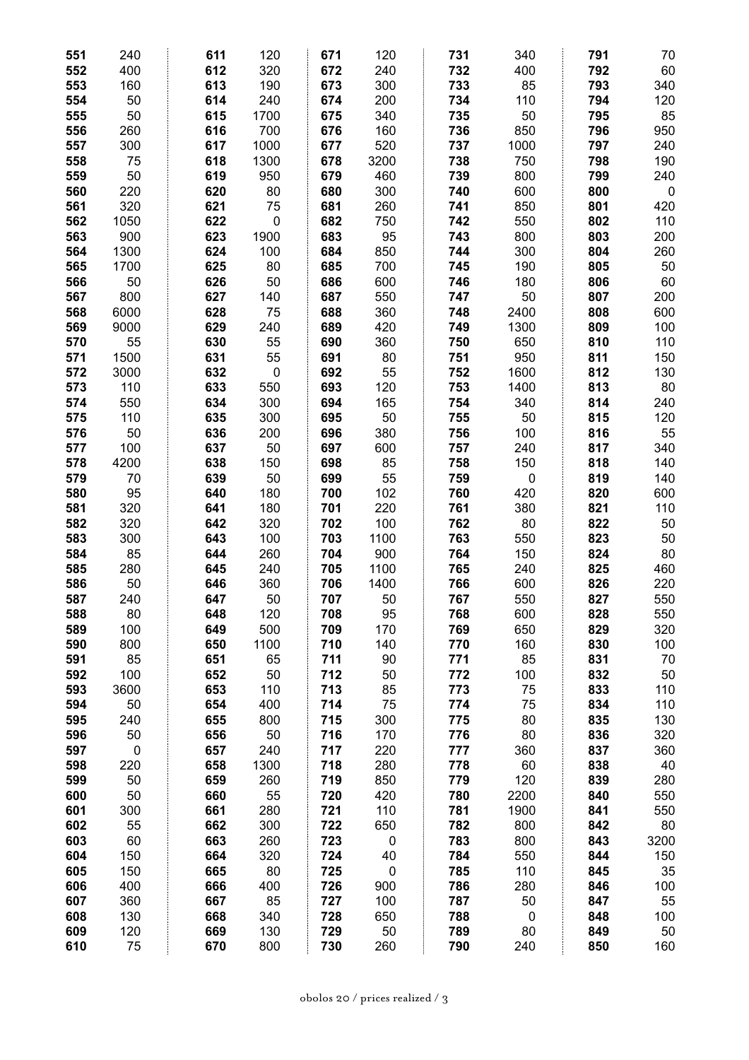| 551        | 240       | 611        | 120              | 671        | 120              | 731        | 340         | 791        | 70          |
|------------|-----------|------------|------------------|------------|------------------|------------|-------------|------------|-------------|
| 552        | 400       | 612        | 320              | 672        | 240              | 732        | 400         | 792        | 60          |
| 553        | 160       | 613        | 190              | 673        | 300              | 733        | 85          | 793        | 340         |
| 554        | 50        | 614        | 240              | 674        | 200              | 734        | 110         | 794        | 120         |
| 555        | 50        | 615        | 1700             | 675        | 340              | 735        | 50          | 795        | 85          |
| 556        | 260       | 616        | 700              | 676        | 160              | 736        | 850         | 796        | 950         |
| 557        | 300       | 617        | 1000             | 677        | 520              | 737        | 1000        | 797        | 240         |
| 558        | 75        | 618        | 1300             | 678        | 3200             | 738        | 750         | 798        | 190         |
| 559        | 50        | 619        | 950              | 679        | 460              | 739        | 800         | 799        | 240         |
| 560        | 220       | 620        | 80               | 680        | 300              | 740        | 600         | 800        | $\mathbf 0$ |
| 561        | 320       | 621        | 75               | 681        | 260              | 741        | 850         | 801        | 420         |
| 562        | 1050      | 622        | $\boldsymbol{0}$ | 682        | 750              | 742        | 550         | 802        | 110         |
| 563        | 900       | 623        | 1900             | 683        | 95               | 743        | 800         | 803        | 200         |
| 564        | 1300      | 624        | 100              | 684        | 850              | 744        | 300         | 804        | 260         |
| 565        | 1700      | 625        | 80               | 685        | 700              | 745        | 190         | 805        | 50          |
| 566        | 50        | 626        | 50               | 686        | 600              | 746        | 180         | 806        | 60          |
| 567        | 800       | 627        | 140              | 687        | 550              | 747        | 50          | 807        | 200         |
| 568        | 6000      | 628        | 75               | 688        | 360              | 748        | 2400        | 808        | 600         |
| 569        | 9000      | 629        | 240              | 689        | 420              | 749        | 1300        | 809        | 100         |
| 570        | 55        | 630        | 55               | 690        | 360              | 750        | 650         | 810        | 110         |
| 571        | 1500      | 631        | 55               | 691        | 80               | 751        | 950         | 811        | 150         |
| 572        | 3000      | 632        | $\pmb{0}$        | 692        | 55               | 752        | 1600        | 812        | 130         |
| 573        | 110       | 633        | 550              | 693        | 120              | 753        | 1400        | 813        | 80          |
| 574        | 550       | 634        | 300              | 694        | 165              | 754        | 340         | 814        | 240         |
| 575        | 110       | 635        | 300              | 695        | 50               | 755        | 50          | 815        | 120         |
| 576        | 50        | 636        | 200              | 696        | 380              | 756        | 100         | 816        | 55          |
| 577        | 100       | 637        | 50               | 697        | 600              | 757        | 240         | 817        | 340         |
| 578        | 4200      | 638        | 150              | 698        | 85               | 758        | 150         | 818        | 140         |
| 579        | 70        | 639        | 50               | 699        | 55               | 759        | 0           | 819        | 140         |
| 580        | 95        | 640        | 180              | 700        | 102              | 760        | 420         | 820        | 600         |
| 581        | 320       | 641        | 180              | 701        | 220              | 761        | 380         | 821        | 110         |
| 582        | 320       | 642        | 320              | 702        | 100              | 762        | 80          | 822        | 50          |
| 583        | 300       | 643        | 100              | 703        | 1100             | 763        | 550         | 823        | 50          |
| 584        | 85        | 644        | 260              | 704        | 900              | 764        | 150         | 824        | 80          |
| 585        | 280       | 645        | 240              | 705        | 1100             | 765        | 240         | 825        | 460         |
| 586        | 50        | 646        | 360              | 706        | 1400             | 766        | 600         | 826        | 220         |
| 587        | 240       | 647        | 50               | 707        | 50               | 767        | 550         | 827        | 550         |
| 588        | 80        | 648        | 120              | 708        | 95               | 768        | 600         | 828        | 550         |
| 589        | 100       | 649        | 500              | 709        | 170              | 769        | 650         | 829        | 320         |
| 590        | 800       | 650        | 1100             | 710        | 140              | 770        | 160         | 830        | 100         |
| 591        | 85        | 651        | 65               | 711        | 90               | 771        | 85          | 831        | 70          |
| 592        | 100       | 652        | 50               | 712        | 50               | 772        | 100         | 832        | 50          |
| 593        | 3600      | 653        | 110              | 713        | 85               | 773        | 75          | 833        | 110         |
| 594        | 50        | 654        | 400              | 714        | 75               | 774        | 75          | 834        | 110         |
| 595        | 240       | 655        | 800              | 715        | 300              | 775        | 80          | 835        | 130         |
| 596        | 50        | 656        | 50               | 716        | 170              | 776        | 80          | 836        | 320         |
| 597        | $\pmb{0}$ | 657        | 240              | 717        | 220              | 777        | 360         | 837        | 360         |
| 598        | 220       | 658        | 1300             | 718        | 280              | 778        | 60          | 838        | 40          |
| 599        | 50        | 659        | 260              | 719        | 850              | 779        | 120         | 839        | 280         |
| 600        | 50        | 660<br>661 | 55               | 720        | 420              | 780        | 2200        | 840<br>841 | 550         |
| 601        | 300       | 662        | 280              | 721        | 110              | 781        | 1900<br>800 | 842        | 550         |
| 602<br>603 | 55<br>60  | 663        | 300<br>260       | 722<br>723 | 650<br>$\pmb{0}$ | 782<br>783 | 800         | 843        | 80<br>3200  |
| 604        | 150       | 664        | 320              | 724        | 40               | 784        | 550         | 844        | 150         |
| 605        | 150       | 665        | 80               | 725        | $\pmb{0}$        | 785        | 110         | 845        | 35          |
| 606        | 400       | 666        | 400              | 726        | 900              | 786        | 280         | 846        | 100         |
| 607        | 360       | 667        | 85               | 727        | 100              | 787        | 50          | 847        | 55          |
| 608        | 130       | 668        | 340              | 728        | 650              | 788        | $\mathbf 0$ | 848        | 100         |
| 609        | 120       | 669        | 130              | 729        | 50               | 789        | 80          | 849        | 50          |
| 610        | 75        | 670        | 800              | 730        | 260              | 790        | 240         | 850        | 160         |
|            |           |            |                  |            |                  |            |             |            |             |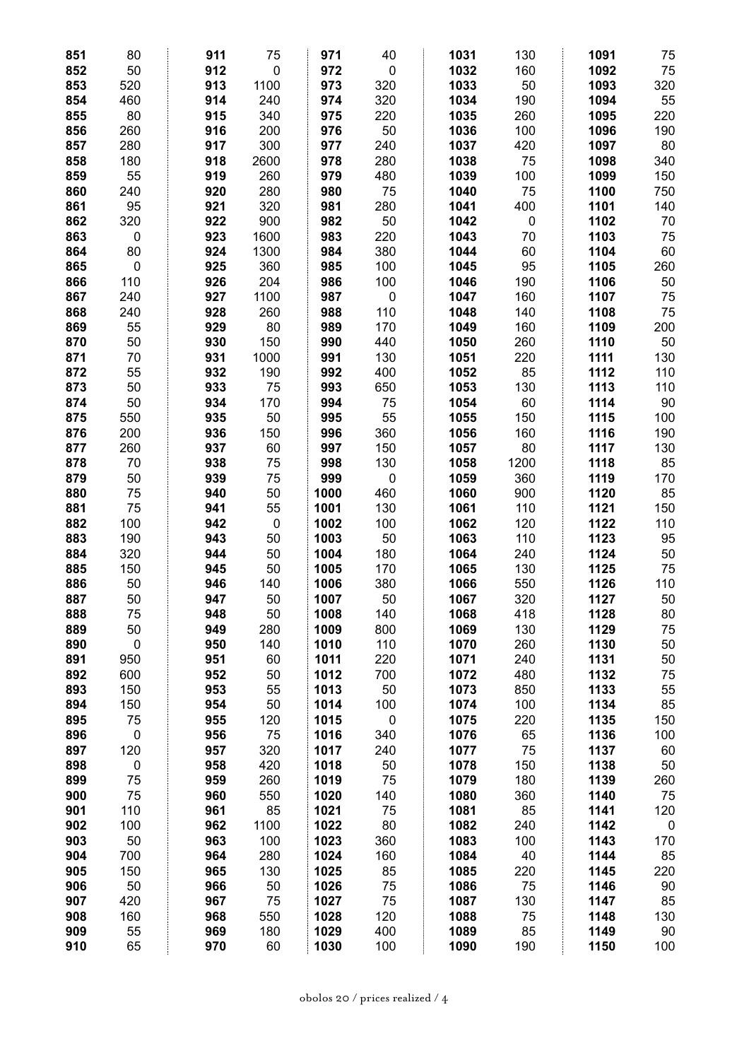| 851 | 80              | 911        | 75        | 971          | 40          | 1031 | 130        | 1091 | 75        |
|-----|-----------------|------------|-----------|--------------|-------------|------|------------|------|-----------|
| 852 | 50              | 912        | $\pmb{0}$ | 972          | $\mathbf 0$ | 1032 | 160        | 1092 | 75        |
| 853 | 520             | 913        | 1100      | 973          | 320         | 1033 | 50         | 1093 | 320       |
| 854 | 460             | 914        | 240       | 974          | 320         | 1034 | 190        | 1094 | 55        |
| 855 | 80              | 915        | 340       | 975          | 220         | 1035 | 260        | 1095 | 220       |
| 856 | 260             | 916        | 200       | 976          | 50          | 1036 | 100        | 1096 | 190       |
| 857 | 280             | 917        | 300       | 977          | 240         | 1037 | 420        | 1097 | 80        |
| 858 | 180             | 918        | 2600      | 978          | 280         | 1038 | 75         | 1098 | 340       |
| 859 | 55              | 919        | 260       | 979          | 480         | 1039 | 100        | 1099 | 150       |
| 860 | 240             | 920        | 280       | 980          | 75          | 1040 | 75         | 1100 | 750       |
| 861 | 95              | 921        | 320       | 981          | 280         | 1041 | 400        | 1101 | 140       |
| 862 | 320             | 922        | 900       | 982          | 50          | 1042 | 0          | 1102 | 70        |
| 863 | $\pmb{0}$       | 923        | 1600      | 983          | 220         | 1043 | 70         | 1103 | 75        |
| 864 | 80              | 924        | 1300      | 984          | 380         | 1044 | 60         | 1104 | 60        |
| 865 | $\pmb{0}$       | 925        | 360       | 985          | 100         | 1045 | 95         | 1105 | 260       |
| 866 | 110             | 926        | 204       | 986          | 100         | 1046 | 190        | 1106 | 50        |
| 867 | 240             | 927        | 1100      | 987          | $\pmb{0}$   | 1047 | 160        | 1107 | 75        |
| 868 | 240             | 928        | 260       | 988          | 110         | 1048 | 140        | 1108 | 75        |
| 869 | 55              | 929        | 80        | 989          | 170         | 1049 | 160        | 1109 | 200       |
| 870 | 50              | 930        | 150       | 990          | 440         | 1050 | 260        | 1110 | 50        |
| 871 | 70              | 931        | 1000      | 991          | 130         | 1051 | 220        | 1111 | 130       |
| 872 | 55              | 932        | 190       | 992          | 400         | 1052 | 85         | 1112 | 110       |
| 873 | 50              | 933        | 75        | 993          | 650         | 1053 | 130        | 1113 | 110       |
| 874 | 50              | 934        | 170       | 994          | 75          | 1054 | 60         | 1114 | 90        |
| 875 | 550             | 935        | 50        | 995          | 55          | 1055 | 150        | 1115 | 100       |
| 876 | 200             | 936        | 150       | 996          | 360         | 1056 | 160        | 1116 | 190       |
| 877 | 260             | 937        | 60        | 997          | 150         | 1057 | 80         | 1117 | 130       |
| 878 | 70              | 938        | 75        | 998          | 130         | 1058 | 1200       | 1118 | 85        |
| 879 | 50              | 939        | 75        | 999          | $\pmb{0}$   | 1059 | 360        | 1119 | 170       |
| 880 | 75              | 940        | 50        | 1000         | 460         | 1060 | 900        | 1120 | 85        |
|     |                 | 941        |           |              |             |      | 110        |      |           |
| 881 | 75              |            | 55        | 1001         | 130         | 1061 |            | 1121 | 150       |
| 882 | 100             | 942        | $\pmb{0}$ | 1002         | 100         | 1062 | 120        | 1122 | 110       |
| 883 | 190             | 943        | 50        | 1003         | 50          | 1063 | 110        | 1123 | 95        |
| 884 | 320             | 944        | 50        | 1004         | 180         | 1064 | 240        | 1124 | 50        |
| 885 | 150             | 945        | 50        | 1005         | 170         | 1065 | 130        | 1125 | 75        |
| 886 | 50              | 946        | 140       | 1006         | 380<br>50   | 1066 | 550        | 1126 | 110       |
| 887 | 50              | 947        | 50        | 1007         |             | 1067 | 320        | 1127 | 50        |
| 888 | 75              | 948        | 50        | 1008         | 140         | 1068 | 418        | 1128 | 80        |
| 889 | 50<br>$\pmb{0}$ | 949        | 280       | 1009         | 800         | 1069 | 130        | 1129 | 75        |
| 890 |                 | 950        | 140       | 1010         | 110         | 1070 | 260        | 1130 | 50        |
| 891 | 950             | 951        | 60        | 1011         | 220         | 1071 | 240        | 1131 | 50        |
| 892 | 600             | 952<br>953 | 50<br>55  | 1012<br>1013 | 700<br>50   | 1072 | 480<br>850 | 1132 | 75        |
| 893 | 150             |            |           |              |             | 1073 |            | 1133 | 55        |
| 894 | 150             | 954        | 50        | 1014         | 100         | 1074 | 100        | 1134 | 85        |
| 895 | 75              | 955        | 120       | 1015         | $\pmb{0}$   | 1075 | 220        | 1135 | 150       |
| 896 | $\pmb{0}$       | 956        | 75        | 1016         | 340         | 1076 | 65         | 1136 | 100       |
| 897 | 120             | 957        | 320       | 1017         | 240         | 1077 | 75         | 1137 | 60        |
| 898 | $\pmb{0}$       | 958        | 420       | 1018         | 50          | 1078 | 150        | 1138 | 50        |
| 899 | 75              | 959        | 260       | 1019         | 75          | 1079 | 180        | 1139 | 260       |
| 900 | 75              | 960        | 550       | 1020         | 140         | 1080 | 360        | 1140 | 75        |
| 901 | 110             | 961        | 85        | 1021         | 75          | 1081 | 85         | 1141 | 120       |
| 902 | 100             | 962        | 1100      | 1022         | 80          | 1082 | 240        | 1142 | $\pmb{0}$ |
| 903 | 50              | 963        | 100       | 1023         | 360         | 1083 | 100        | 1143 | 170       |
| 904 | 700             | 964        | 280       | 1024         | 160         | 1084 | 40         | 1144 | 85        |
| 905 | 150             | 965        | 130       | 1025         | 85          | 1085 | 220        | 1145 | 220       |
| 906 | 50              | 966        | 50        | 1026         | 75          | 1086 | 75         | 1146 | 90        |
| 907 | 420             | 967        | 75        | 1027         | 75          | 1087 | 130        | 1147 | 85        |
| 908 | 160             | 968        | 550       | 1028         | 120         | 1088 | 75         | 1148 | 130       |
| 909 | 55              | 969        | 180       | 1029         | 400         | 1089 | 85         | 1149 | 90        |
| 910 | 65              | 970        | 60        | 1030         | 100         | 1090 | 190        | 1150 | 100       |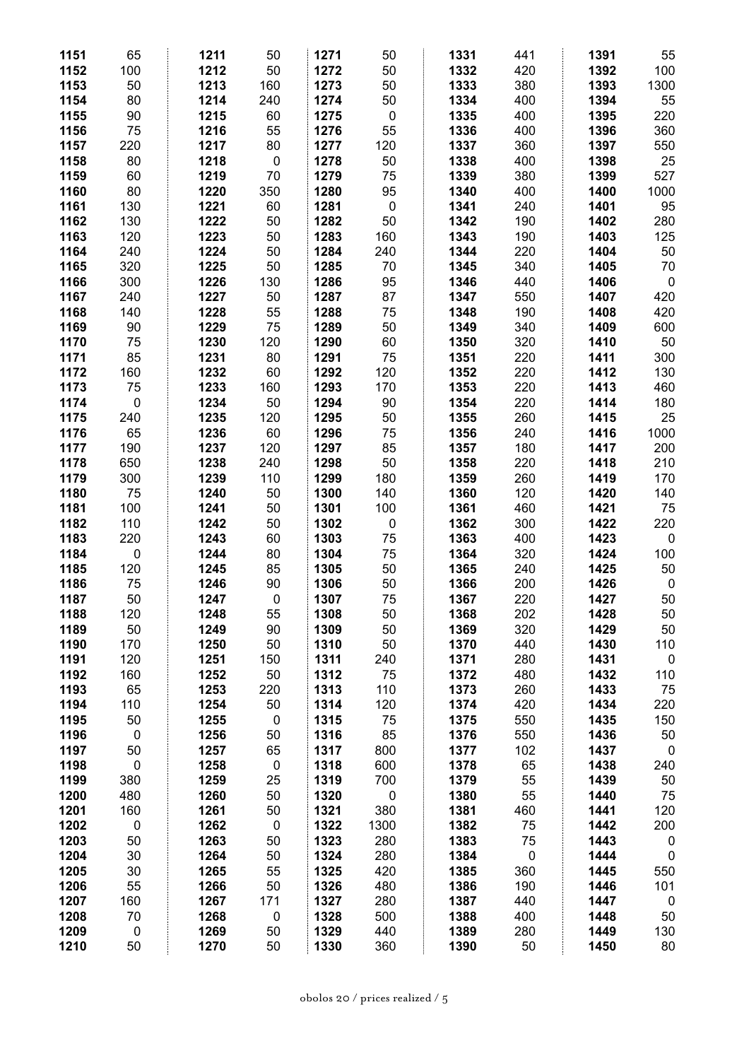| 1151 | 65        | 1211 | 50        | 1271 | 50          | 1331 | 441       | 1391 | 55          |
|------|-----------|------|-----------|------|-------------|------|-----------|------|-------------|
| 1152 | 100       | 1212 | 50        | 1272 | 50          | 1332 | 420       | 1392 | 100         |
| 1153 | 50        | 1213 | 160       | 1273 | 50          | 1333 | 380       | 1393 | 1300        |
| 1154 | 80        | 1214 | 240       | 1274 | 50          | 1334 | 400       | 1394 | 55          |
| 1155 | 90        | 1215 | 60        | 1275 | $\mathbf 0$ | 1335 | 400       | 1395 | 220         |
| 1156 | 75        | 1216 | 55        | 1276 | 55          | 1336 | 400       | 1396 | 360         |
| 1157 | 220       | 1217 | 80        | 1277 | 120         | 1337 | 360       | 1397 | 550         |
| 1158 | 80        | 1218 | $\pmb{0}$ | 1278 | 50          | 1338 | 400       | 1398 | 25          |
| 1159 | 60        | 1219 | 70        | 1279 | 75          | 1339 | 380       | 1399 | 527         |
| 1160 | 80        | 1220 | 350       | 1280 | 95          | 1340 | 400       | 1400 | 1000        |
| 1161 | 130       | 1221 | 60        | 1281 | $\pmb{0}$   | 1341 | 240       | 1401 | 95          |
| 1162 | 130       | 1222 | 50        | 1282 | 50          | 1342 | 190       | 1402 | 280         |
| 1163 | 120       | 1223 | 50        | 1283 | 160         | 1343 | 190       | 1403 | 125         |
| 1164 | 240       | 1224 | 50        | 1284 | 240         | 1344 | 220       | 1404 | 50          |
| 1165 | 320       | 1225 | 50        | 1285 | 70          | 1345 | 340       | 1405 | 70          |
| 1166 | 300       | 1226 | 130       | 1286 | 95          | 1346 | 440       | 1406 | $\mathbf 0$ |
| 1167 | 240       | 1227 | 50        | 1287 | 87          | 1347 | 550       | 1407 | 420         |
| 1168 | 140       | 1228 | 55        | 1288 | 75          | 1348 | 190       | 1408 | 420         |
| 1169 | 90        | 1229 | 75        | 1289 | 50          | 1349 | 340       | 1409 | 600         |
| 1170 | 75        | 1230 | 120       | 1290 | 60          | 1350 | 320       | 1410 | 50          |
| 1171 | 85        | 1231 | 80        | 1291 | 75          | 1351 | 220       | 1411 | 300         |
| 1172 | 160       | 1232 | 60        | 1292 | 120         | 1352 | 220       | 1412 | 130         |
| 1173 | 75        | 1233 | 160       | 1293 | 170         | 1353 | 220       | 1413 | 460         |
| 1174 | 0         | 1234 | 50        | 1294 | 90          | 1354 | 220       | 1414 | 180         |
| 1175 | 240       | 1235 | 120       | 1295 | 50          | 1355 | 260       | 1415 | 25          |
| 1176 | 65        | 1236 | 60        | 1296 | 75          | 1356 | 240       | 1416 | 1000        |
| 1177 | 190       | 1237 | 120       | 1297 | 85          | 1357 | 180       | 1417 | 200         |
| 1178 | 650       | 1238 | 240       | 1298 | 50          | 1358 | 220       | 1418 | 210         |
| 1179 | 300       | 1239 | 110       | 1299 | 180         | 1359 | 260       | 1419 | 170         |
| 1180 | 75        | 1240 | 50        | 1300 | 140         | 1360 | 120       | 1420 | 140         |
| 1181 | 100       | 1241 | 50        | 1301 | 100         | 1361 | 460       | 1421 | 75          |
| 1182 | 110       | 1242 | 50        | 1302 | $\mathbf 0$ | 1362 | 300       | 1422 | 220         |
| 1183 | 220       | 1243 | 60        | 1303 | 75          | 1363 | 400       | 1423 | $\mathbf 0$ |
| 1184 | $\pmb{0}$ | 1244 | 80        | 1304 | 75          | 1364 | 320       | 1424 | 100         |
| 1185 | 120       | 1245 | 85        | 1305 | 50          | 1365 | 240       | 1425 | 50          |
| 1186 | 75        | 1246 | 90        | 1306 | 50          | 1366 | 200       | 1426 | $\mathbf 0$ |
| 1187 | 50        | 1247 | 0         | 1307 | 75          | 1367 | 220       | 1427 | 50          |
| 1188 | 120       | 1248 | 55        | 1308 | 50          | 1368 | 202       | 1428 | 50          |
| 1189 | 50        | 1249 | 90        | 1309 | 50          | 1369 | 320       | 1429 | 50          |
| 1190 | 170       | 1250 | 50        | 1310 | 50          | 1370 | 440       | 1430 | 110         |
| 1191 | 120       | 1251 | 150       | 1311 | 240         | 1371 | 280       | 1431 | $\pmb{0}$   |
| 1192 | 160       | 1252 | 50        | 1312 | 75          | 1372 | 480       | 1432 | 110         |
| 1193 | 65        | 1253 | 220       | 1313 | 110         | 1373 | 260       | 1433 | 75          |
| 1194 | 110       | 1254 | 50        | 1314 | 120         | 1374 | 420       | 1434 | 220         |
| 1195 | 50        | 1255 | $\pmb{0}$ | 1315 | 75          | 1375 | 550       | 1435 | 150         |
| 1196 | $\pmb{0}$ | 1256 | 50        | 1316 | 85          | 1376 | 550       | 1436 | 50          |
| 1197 | 50        | 1257 | 65        | 1317 | 800         | 1377 | 102       | 1437 | $\pmb{0}$   |
| 1198 | $\pmb{0}$ | 1258 | $\pmb{0}$ | 1318 | 600         | 1378 | 65        | 1438 | 240         |
| 1199 | 380       | 1259 | 25        | 1319 | 700         | 1379 | 55        | 1439 | 50          |
| 1200 | 480       | 1260 | 50        | 1320 | $\pmb{0}$   | 1380 | 55        | 1440 | 75          |
| 1201 | 160       | 1261 | 50        | 1321 | 380         | 1381 | 460       | 1441 | 120         |
| 1202 | $\pmb{0}$ | 1262 | $\pmb{0}$ | 1322 | 1300        | 1382 | 75        | 1442 | 200         |
| 1203 | 50        | 1263 | 50        | 1323 | 280         | 1383 | 75        | 1443 | $\pmb{0}$   |
| 1204 | 30        | 1264 | 50        | 1324 | 280         | 1384 | $\pmb{0}$ | 1444 | $\pmb{0}$   |
| 1205 | 30        | 1265 | 55        | 1325 | 420         | 1385 | 360       | 1445 | 550         |
| 1206 | 55        | 1266 | 50        | 1326 | 480         | 1386 | 190       | 1446 | 101         |
| 1207 | 160       | 1267 | 171       | 1327 | 280         | 1387 | 440       | 1447 | $\mathbf 0$ |
| 1208 | 70        | 1268 | $\pmb{0}$ | 1328 | 500         | 1388 | 400       | 1448 | 50          |
| 1209 | 0         | 1269 | 50        | 1329 | 440         | 1389 | 280       | 1449 | 130         |
| 1210 | 50        | 1270 | 50        | 1330 | 360         | 1390 | 50        | 1450 | 80          |